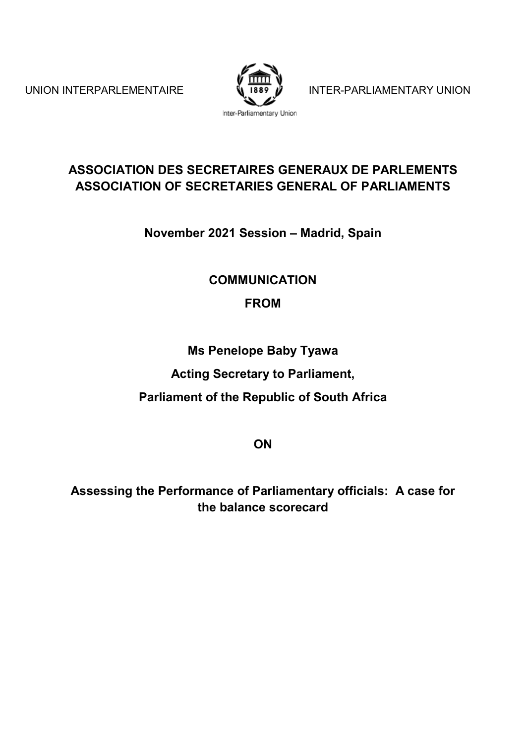

UNION INTERPARLEMENTAIRE  $\sqrt[n]{\frac{1889}{1889}}$  INTER-PARLIAMENTARY UNION

## **ASSOCIATION DES SECRETAIRES GENERAUX DE PARLEMENTS ASSOCIATION OF SECRETARIES GENERAL OF PARLIAMENTS**

**November 2021 Session – Madrid, Spain**

## **COMMUNICATION**

# **FROM**

**Ms Penelope Baby Tyawa**

**Acting Secretary to Parliament,**

**Parliament of the Republic of South Africa**

**ON**

**Assessing the Performance of Parliamentary officials: A case for the balance scorecard**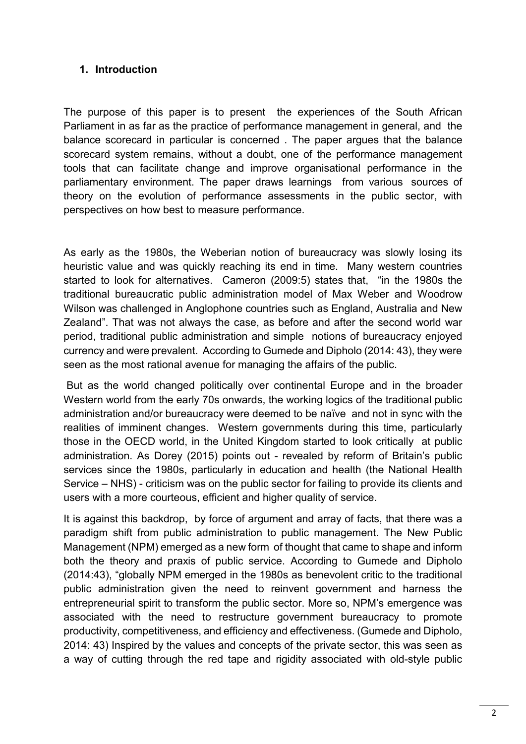### **1. Introduction**

The purpose of this paper is to present the experiences of the South African Parliament in as far as the practice of performance management in general, and the balance scorecard in particular is concerned . The paper argues that the balance scorecard system remains, without a doubt, one of the performance management tools that can facilitate change and improve organisational performance in the parliamentary environment. The paper draws learnings from various sources of theory on the evolution of performance assessments in the public sector, with perspectives on how best to measure performance.

As early as the 1980s, the Weberian notion of bureaucracy was slowly losing its heuristic value and was quickly reaching its end in time. Many western countries started to look for alternatives. Cameron (2009:5) states that, "in the 1980s the traditional bureaucratic public administration model of Max Weber and Woodrow Wilson was challenged in Anglophone countries such as England, Australia and New Zealand". That was not always the case, as before and after the second world war period, traditional public administration and simple notions of bureaucracy enjoyed currency and were prevalent. According to Gumede and Dipholo (2014: 43), they were seen as the most rational avenue for managing the affairs of the public.

But as the world changed politically over continental Europe and in the broader Western world from the early 70s onwards, the working logics of the traditional public administration and/or bureaucracy were deemed to be naïve and not in sync with the realities of imminent changes. Western governments during this time, particularly those in the OECD world, in the United Kingdom started to look critically at public administration. As Dorey (2015) points out - revealed by reform of Britain's public services since the 1980s, particularly in education and health (the National Health Service – NHS) - criticism was on the public sector for failing to provide its clients and users with a more courteous, efficient and higher quality of service.

It is against this backdrop, by force of argument and array of facts, that there was a paradigm shift from public administration to public management. The New Public Management (NPM) emerged as a new form of thought that came to shape and inform both the theory and praxis of public service. According to Gumede and Dipholo (2014:43), "globally NPM emerged in the 1980s as benevolent critic to the traditional public administration given the need to reinvent government and harness the entrepreneurial spirit to transform the public sector. More so, NPM's emergence was associated with the need to restructure government bureaucracy to promote productivity, competitiveness, and efficiency and effectiveness. (Gumede and Dipholo, 2014: 43) Inspired by the values and concepts of the private sector, this was seen as a way of cutting through the red tape and rigidity associated with old-style public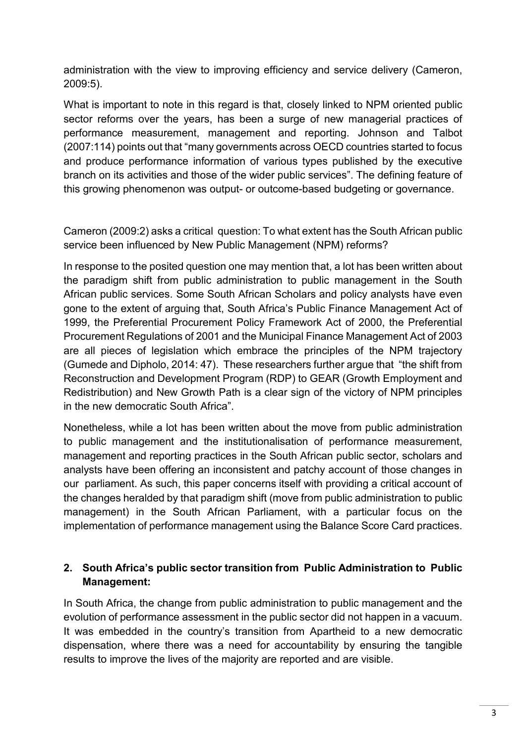administration with the view to improving efficiency and service delivery (Cameron, 2009:5).

What is important to note in this regard is that, closely linked to NPM oriented public sector reforms over the years, has been a surge of new managerial practices of performance measurement, management and reporting. Johnson and Talbot (2007:114) points out that "many governments across OECD countries started to focus and produce performance information of various types published by the executive branch on its activities and those of the wider public services". The defining feature of this growing phenomenon was output- or outcome-based budgeting or governance.

Cameron (2009:2) asks a critical question: To what extent has the South African public service been influenced by New Public Management (NPM) reforms?

In response to the posited question one may mention that, a lot has been written about the paradigm shift from public administration to public management in the South African public services. Some South African Scholars and policy analysts have even gone to the extent of arguing that, South Africa's Public Finance Management Act of 1999, the Preferential Procurement Policy Framework Act of 2000, the Preferential Procurement Regulations of 2001 and the Municipal Finance Management Act of 2003 are all pieces of legislation which embrace the principles of the NPM trajectory (Gumede and Dipholo, 2014: 47). These researchers further argue that "the shift from Reconstruction and Development Program (RDP) to GEAR (Growth Employment and Redistribution) and New Growth Path is a clear sign of the victory of NPM principles in the new democratic South Africa".

Nonetheless, while a lot has been written about the move from public administration to public management and the institutionalisation of performance measurement, management and reporting practices in the South African public sector, scholars and analysts have been offering an inconsistent and patchy account of those changes in our parliament. As such, this paper concerns itself with providing a critical account of the changes heralded by that paradigm shift (move from public administration to public management) in the South African Parliament, with a particular focus on the implementation of performance management using the Balance Score Card practices.

### **2. South Africa's public sector transition from Public Administration to Public Management:**

In South Africa, the change from public administration to public management and the evolution of performance assessment in the public sector did not happen in a vacuum. It was embedded in the country's transition from Apartheid to a new democratic dispensation, where there was a need for accountability by ensuring the tangible results to improve the lives of the majority are reported and are visible.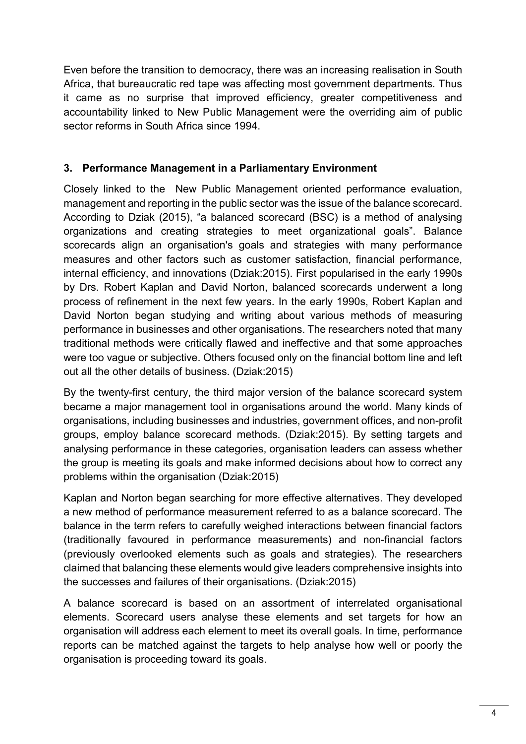Even before the transition to democracy, there was an increasing realisation in South Africa, that bureaucratic red tape was affecting most government departments. Thus it came as no surprise that improved efficiency, greater competitiveness and accountability linked to New Public Management were the overriding aim of public sector reforms in South Africa since 1994.

### **3. Performance Management in a Parliamentary Environment**

Closely linked to the New Public Management oriented performance evaluation, management and reporting in the public sector was the issue of the balance scorecard. According to Dziak (2015), "a balanced scorecard (BSC) is a method of analysing organizations and creating strategies to meet organizational goals". Balance scorecards align an organisation's goals and strategies with many performance measures and other factors such as customer satisfaction, financial performance, internal efficiency, and innovations (Dziak:2015). First popularised in the early 1990s by Drs. Robert Kaplan and David Norton, balanced scorecards underwent a long process of refinement in the next few years. In the early 1990s, Robert Kaplan and David Norton began studying and writing about various methods of measuring performance in businesses and other organisations. The researchers noted that many traditional methods were critically flawed and ineffective and that some approaches were too vague or subjective. Others focused only on the financial bottom line and left out all the other details of business. (Dziak:2015)

By the twenty-first century, the third major version of the balance scorecard system became a major management tool in organisations around the world. Many kinds of organisations, including businesses and industries, government offices, and non-profit groups, employ balance scorecard methods. (Dziak:2015). By setting targets and analysing performance in these categories, organisation leaders can assess whether the group is meeting its goals and make informed decisions about how to correct any problems within the organisation (Dziak:2015)

Kaplan and Norton began searching for more effective alternatives. They developed a new method of performance measurement referred to as a balance scorecard. The balance in the term refers to carefully weighed interactions between financial factors (traditionally favoured in performance measurements) and non-financial factors (previously overlooked elements such as goals and strategies). The researchers claimed that balancing these elements would give leaders comprehensive insights into the successes and failures of their organisations. (Dziak:2015)

A balance scorecard is based on an assortment of interrelated organisational elements. Scorecard users analyse these elements and set targets for how an organisation will address each element to meet its overall goals. In time, performance reports can be matched against the targets to help analyse how well or poorly the organisation is proceeding toward its goals.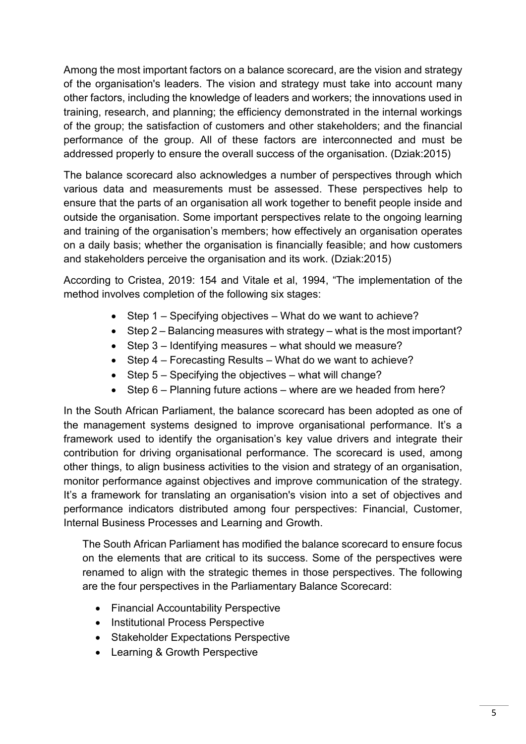Among the most important factors on a balance scorecard, are the vision and strategy of the organisation's leaders. The vision and strategy must take into account many other factors, including the knowledge of leaders and workers; the innovations used in training, research, and planning; the efficiency demonstrated in the internal workings of the group; the satisfaction of customers and other stakeholders; and the financial performance of the group. All of these factors are interconnected and must be addressed properly to ensure the overall success of the organisation. (Dziak:2015)

The balance scorecard also acknowledges a number of perspectives through which various data and measurements must be assessed. These perspectives help to ensure that the parts of an organisation all work together to benefit people inside and outside the organisation. Some important perspectives relate to the ongoing learning and training of the organisation's members; how effectively an organisation operates on a daily basis; whether the organisation is financially feasible; and how customers and stakeholders perceive the organisation and its work. (Dziak:2015)

According to Cristea, 2019: 154 and Vitale et al, 1994, "The implementation of the method involves completion of the following six stages:

- Step 1 Specifying objectives What do we want to achieve?
- Step 2 Balancing measures with strategy what is the most important?
- Step 3 Identifying measures what should we measure?
- Step 4 Forecasting Results What do we want to achieve?
- Step 5 Specifying the objectives what will change?
- Step 6 Planning future actions where are we headed from here?

In the South African Parliament, the balance scorecard has been adopted as one of the management systems designed to improve organisational performance. It's a framework used to identify the organisation's key value drivers and integrate their contribution for driving organisational performance. The scorecard is used, among other things, to align business activities to the vision and strategy of an organisation, monitor performance against objectives and improve communication of the strategy. It's a framework for translating an organisation's vision into a set of objectives and performance indicators distributed among four perspectives: Financial, Customer, Internal Business Processes and Learning and Growth.

The South African Parliament has modified the balance scorecard to ensure focus on the elements that are critical to its success. Some of the perspectives were renamed to align with the strategic themes in those perspectives. The following are the four perspectives in the Parliamentary Balance Scorecard:

- Financial Accountability Perspective
- Institutional Process Perspective
- Stakeholder Expectations Perspective
- Learning & Growth Perspective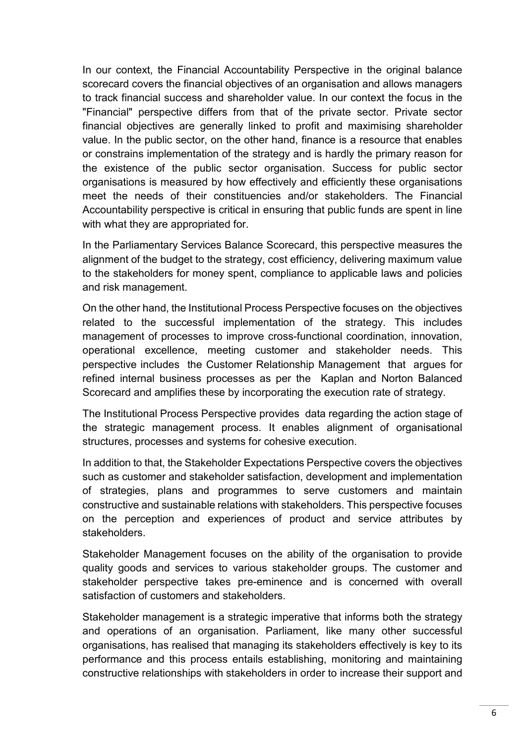In our context, the Financial Accountability Perspective in the original balance scorecard covers the financial objectives of an organisation and allows managers to track financial success and shareholder value. In our context the focus in the "Financial" perspective differs from that of the private sector. Private sector financial objectives are generally linked to profit and maximising shareholder value. In the public sector, on the other hand, finance is a resource that enables or constrains implementation of the strategy and is hardly the primary reason for the existence of the public sector organisation. Success for public sector organisations is measured by how effectively and efficiently these organisations meet the needs of their constituencies and/or stakeholders. The Financial Accountability perspective is critical in ensuring that public funds are spent in line with what they are appropriated for.

In the Parliamentary Services Balance Scorecard, this perspective measures the alignment of the budget to the strategy, cost efficiency, delivering maximum value to the stakeholders for money spent, compliance to applicable laws and policies and risk management.

On the other hand, the Institutional Process Perspective focuses on the objectives related to the successful implementation of the strategy. This includes management of processes to improve cross-functional coordination, innovation, operational excellence, meeting customer and stakeholder needs. This perspective includes the Customer Relationship Management that argues for refined internal business processes as per the Kaplan and Norton Balanced Scorecard and amplifies these by incorporating the execution rate of strategy.

The Institutional Process Perspective provides data regarding the action stage of the strategic management process. It enables alignment of organisational structures, processes and systems for cohesive execution.

In addition to that, the Stakeholder Expectations Perspective covers the objectives such as customer and stakeholder satisfaction, development and implementation of strategies, plans and programmes to serve customers and maintain constructive and sustainable relations with stakeholders. This perspective focuses on the perception and experiences of product and service attributes by stakeholders.

Stakeholder Management focuses on the ability of the organisation to provide quality goods and services to various stakeholder groups. The customer and stakeholder perspective takes pre-eminence and is concerned with overall satisfaction of customers and stakeholders.

Stakeholder management is a strategic imperative that informs both the strategy and operations of an organisation. Parliament, like many other successful organisations, has realised that managing its stakeholders effectively is key to its performance and this process entails establishing, monitoring and maintaining constructive relationships with stakeholders in order to increase their support and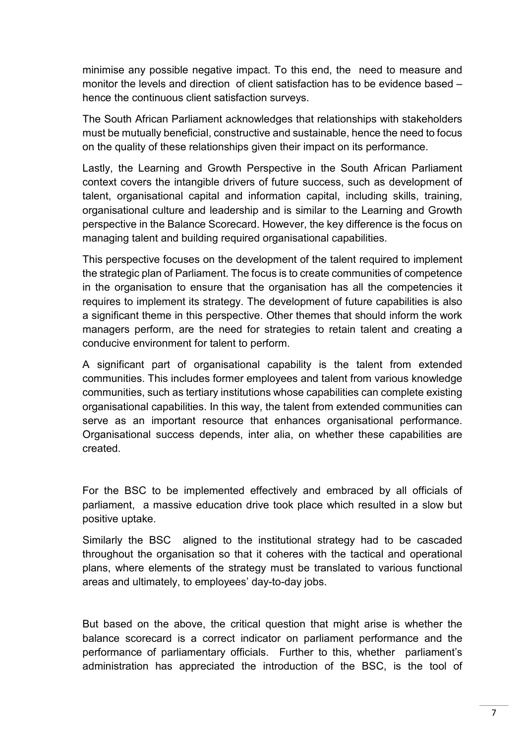minimise any possible negative impact. To this end, the need to measure and monitor the levels and direction of client satisfaction has to be evidence based – hence the continuous client satisfaction surveys.

The South African Parliament acknowledges that relationships with stakeholders must be mutually beneficial, constructive and sustainable, hence the need to focus on the quality of these relationships given their impact on its performance.

Lastly, the Learning and Growth Perspective in the South African Parliament context covers the intangible drivers of future success, such as development of talent, organisational capital and information capital, including skills, training, organisational culture and leadership and is similar to the Learning and Growth perspective in the Balance Scorecard. However, the key difference is the focus on managing talent and building required organisational capabilities.

This perspective focuses on the development of the talent required to implement the strategic plan of Parliament. The focus is to create communities of competence in the organisation to ensure that the organisation has all the competencies it requires to implement its strategy. The development of future capabilities is also a significant theme in this perspective. Other themes that should inform the work managers perform, are the need for strategies to retain talent and creating a conducive environment for talent to perform.

A significant part of organisational capability is the talent from extended communities. This includes former employees and talent from various knowledge communities, such as tertiary institutions whose capabilities can complete existing organisational capabilities. In this way, the talent from extended communities can serve as an important resource that enhances organisational performance. Organisational success depends, inter alia, on whether these capabilities are created.

For the BSC to be implemented effectively and embraced by all officials of parliament, a massive education drive took place which resulted in a slow but positive uptake.

Similarly the BSC aligned to the institutional strategy had to be cascaded throughout the organisation so that it coheres with the tactical and operational plans, where elements of the strategy must be translated to various functional areas and ultimately, to employees' day-to-day jobs.

But based on the above, the critical question that might arise is whether the balance scorecard is a correct indicator on parliament performance and the performance of parliamentary officials. Further to this, whether parliament's administration has appreciated the introduction of the BSC, is the tool of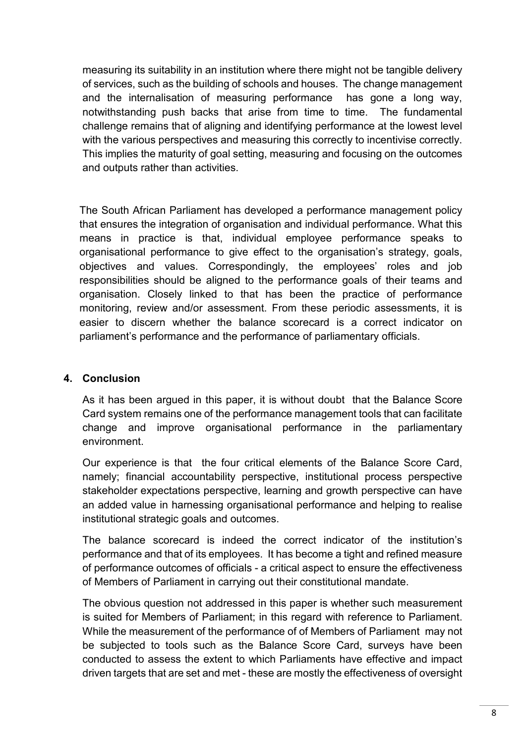measuring its suitability in an institution where there might not be tangible delivery of services, such as the building of schools and houses. The change management and the internalisation of measuring performance has gone a long way, notwithstanding push backs that arise from time to time. The fundamental challenge remains that of aligning and identifying performance at the lowest level with the various perspectives and measuring this correctly to incentivise correctly. This implies the maturity of goal setting, measuring and focusing on the outcomes and outputs rather than activities.

The South African Parliament has developed a performance management policy that ensures the integration of organisation and individual performance. What this means in practice is that, individual employee performance speaks to organisational performance to give effect to the organisation's strategy, goals, objectives and values. Correspondingly, the employees' roles and job responsibilities should be aligned to the performance goals of their teams and organisation. Closely linked to that has been the practice of performance monitoring, review and/or assessment. From these periodic assessments, it is easier to discern whether the balance scorecard is a correct indicator on parliament's performance and the performance of parliamentary officials.

#### **4. Conclusion**

As it has been argued in this paper, it is without doubt that the Balance Score Card system remains one of the performance management tools that can facilitate change and improve organisational performance in the parliamentary environment.

Our experience is that the four critical elements of the Balance Score Card, namely; financial accountability perspective, institutional process perspective stakeholder expectations perspective, learning and growth perspective can have an added value in harnessing organisational performance and helping to realise institutional strategic goals and outcomes.

The balance scorecard is indeed the correct indicator of the institution's performance and that of its employees. It has become a tight and refined measure of performance outcomes of officials - a critical aspect to ensure the effectiveness of Members of Parliament in carrying out their constitutional mandate.

The obvious question not addressed in this paper is whether such measurement is suited for Members of Parliament; in this regard with reference to Parliament. While the measurement of the performance of of Members of Parliament may not be subjected to tools such as the Balance Score Card, surveys have been conducted to assess the extent to which Parliaments have effective and impact driven targets that are set and met - these are mostly the effectiveness of oversight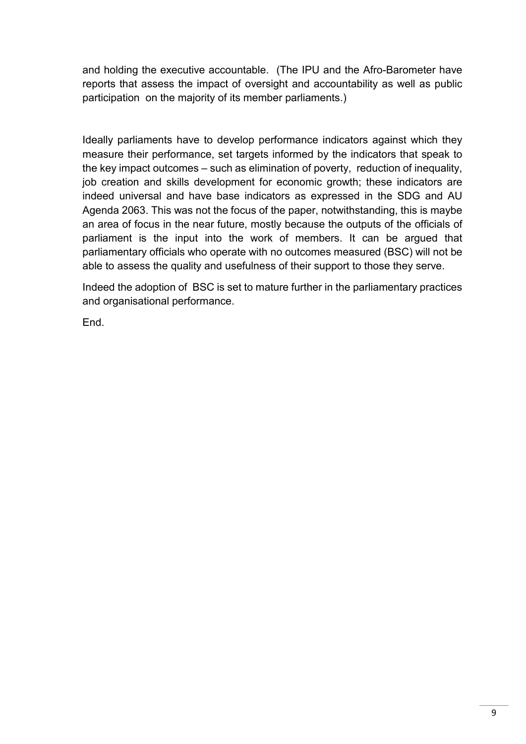and holding the executive accountable. (The IPU and the Afro-Barometer have reports that assess the impact of oversight and accountability as well as public participation on the majority of its member parliaments.)

Ideally parliaments have to develop performance indicators against which they measure their performance, set targets informed by the indicators that speak to the key impact outcomes – such as elimination of poverty, reduction of inequality, job creation and skills development for economic growth; these indicators are indeed universal and have base indicators as expressed in the SDG and AU Agenda 2063. This was not the focus of the paper, notwithstanding, this is maybe an area of focus in the near future, mostly because the outputs of the officials of parliament is the input into the work of members. It can be argued that parliamentary officials who operate with no outcomes measured (BSC) will not be able to assess the quality and usefulness of their support to those they serve.

Indeed the adoption of BSC is set to mature further in the parliamentary practices and organisational performance.

End.